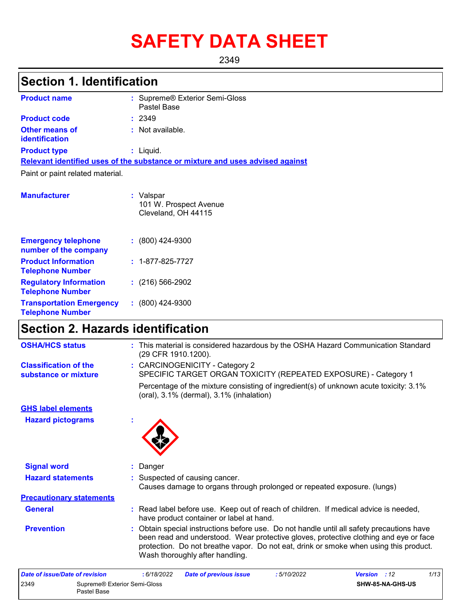# **SAFETY DATA SHEET**

2349

# **Section 1. Identification**

| <b>Product name</b>                            | : Supreme® Exterior Semi-Gloss<br>Pastel Base                                 |
|------------------------------------------------|-------------------------------------------------------------------------------|
| <b>Product code</b>                            | : 2349                                                                        |
| <b>Other means of</b><br><b>identification</b> | : Not available.                                                              |
| <b>Product type</b>                            | : Liquid.                                                                     |
|                                                | Relevant identified uses of the substance or mixture and uses advised against |
| Paint or paint related material.               |                                                                               |
| <b>Manufacturer</b>                            | : Valspar<br>101 W. Prospect Avenue                                           |

Cleveland, OH 44115

| <b>Emergency telephone</b><br>number of the company        | $: (800)$ 424-9300       |
|------------------------------------------------------------|--------------------------|
| <b>Product Information</b><br><b>Telephone Number</b>      | $: 1 - 877 - 825 - 7727$ |
| <b>Regulatory Information</b><br><b>Telephone Number</b>   | $: (216) 566 - 2902$     |
| <b>Transportation Emergency</b><br><b>Telephone Number</b> | $: (800)$ 424-9300       |

# **Section 2. Hazards identification**

| <b>OSHA/HCS status</b>                               | : This material is considered hazardous by the OSHA Hazard Communication Standard<br>(29 CFR 1910.1200).                                                                                                                                                                                                       |
|------------------------------------------------------|----------------------------------------------------------------------------------------------------------------------------------------------------------------------------------------------------------------------------------------------------------------------------------------------------------------|
| <b>Classification of the</b><br>substance or mixture | : CARCINOGENICITY - Category 2<br>SPECIFIC TARGET ORGAN TOXICITY (REPEATED EXPOSURE) - Category 1                                                                                                                                                                                                              |
|                                                      | Percentage of the mixture consisting of ingredient(s) of unknown acute toxicity: 3.1%<br>(oral), $3.1\%$ (dermal), $3.1\%$ (inhalation)                                                                                                                                                                        |
| <b>GHS label elements</b>                            |                                                                                                                                                                                                                                                                                                                |
| <b>Hazard pictograms</b>                             |                                                                                                                                                                                                                                                                                                                |
|                                                      |                                                                                                                                                                                                                                                                                                                |
| <b>Signal word</b>                                   | : Danger                                                                                                                                                                                                                                                                                                       |
| <b>Hazard statements</b>                             | : Suspected of causing cancer.<br>Causes damage to organs through prolonged or repeated exposure. (lungs)                                                                                                                                                                                                      |
| <b>Precautionary statements</b>                      |                                                                                                                                                                                                                                                                                                                |
| <b>General</b>                                       | : Read label before use. Keep out of reach of children. If medical advice is needed,<br>have product container or label at hand.                                                                                                                                                                               |
| <b>Prevention</b>                                    | : Obtain special instructions before use. Do not handle until all safety precautions have<br>been read and understood. Wear protective gloves, protective clothing and eye or face<br>protection. Do not breathe vapor. Do not eat, drink or smoke when using this product.<br>Wash thoroughly after handling. |

| Date of issue/Date of revision |                                             | : 6/18/2022 | <b>Date of previous issue</b> | : 5/10/2022 | <b>Version</b> : 12     | 1/13 |
|--------------------------------|---------------------------------------------|-------------|-------------------------------|-------------|-------------------------|------|
| 2349                           | Supreme® Exterior Semi-Gloss<br>Pastel Base |             |                               |             | <b>SHW-85-NA-GHS-US</b> |      |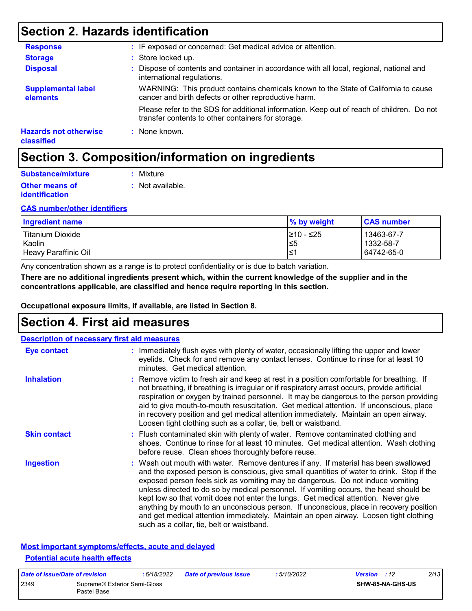# **Section 2. Hazards identification**

| <b>Response</b>                            | : IF exposed or concerned: Get medical advice or attention.                                                                                     |
|--------------------------------------------|-------------------------------------------------------------------------------------------------------------------------------------------------|
| <b>Storage</b>                             | : Store locked up.                                                                                                                              |
| <b>Disposal</b>                            | : Dispose of contents and container in accordance with all local, regional, national and<br>international regulations.                          |
| <b>Supplemental label</b><br>elements      | WARNING: This product contains chemicals known to the State of California to cause<br>cancer and birth defects or other reproductive harm.      |
|                                            | Please refer to the SDS for additional information. Keep out of reach of children. Do not<br>transfer contents to other containers for storage. |
| <b>Hazards not otherwise</b><br>classified | : None known.                                                                                                                                   |

# **Section 3. Composition/information on ingredients**

| Substance/mixture                              | : Mixture        |
|------------------------------------------------|------------------|
| <b>Other means of</b><br><b>identification</b> | : Not available. |

#### **CAS number/other identifiers**

| Ingredient name      | % by weight | <b>CAS number</b> |
|----------------------|-------------|-------------------|
| l Titanium Dioxide   | 210 - ≤25   | 13463-67-7        |
| Kaolin               | ≤5          | 1332-58-7         |
| Heavy Paraffinic Oil | ≁≥،         | 64742-65-0        |

Any concentration shown as a range is to protect confidentiality or is due to batch variation.

**There are no additional ingredients present which, within the current knowledge of the supplier and in the concentrations applicable, are classified and hence require reporting in this section.**

**Occupational exposure limits, if available, are listed in Section 8.**

### **Section 4. First aid measures**

| <b>Description of necessary first aid measures</b> |                                                                                                                                                                                                                                                                                                                                                                                                                                                                                                                                                                                                                                                                                   |
|----------------------------------------------------|-----------------------------------------------------------------------------------------------------------------------------------------------------------------------------------------------------------------------------------------------------------------------------------------------------------------------------------------------------------------------------------------------------------------------------------------------------------------------------------------------------------------------------------------------------------------------------------------------------------------------------------------------------------------------------------|
| Eye contact                                        | : Immediately flush eyes with plenty of water, occasionally lifting the upper and lower<br>eyelids. Check for and remove any contact lenses. Continue to rinse for at least 10<br>minutes. Get medical attention.                                                                                                                                                                                                                                                                                                                                                                                                                                                                 |
| <b>Inhalation</b>                                  | : Remove victim to fresh air and keep at rest in a position comfortable for breathing. If<br>not breathing, if breathing is irregular or if respiratory arrest occurs, provide artificial<br>respiration or oxygen by trained personnel. It may be dangerous to the person providing<br>aid to give mouth-to-mouth resuscitation. Get medical attention. If unconscious, place<br>in recovery position and get medical attention immediately. Maintain an open airway.<br>Loosen tight clothing such as a collar, tie, belt or waistband.                                                                                                                                         |
| <b>Skin contact</b>                                | : Flush contaminated skin with plenty of water. Remove contaminated clothing and<br>shoes. Continue to rinse for at least 10 minutes. Get medical attention. Wash clothing<br>before reuse. Clean shoes thoroughly before reuse.                                                                                                                                                                                                                                                                                                                                                                                                                                                  |
| <b>Ingestion</b>                                   | : Wash out mouth with water. Remove dentures if any. If material has been swallowed<br>and the exposed person is conscious, give small quantities of water to drink. Stop if the<br>exposed person feels sick as vomiting may be dangerous. Do not induce vomiting<br>unless directed to do so by medical personnel. If vomiting occurs, the head should be<br>kept low so that vomit does not enter the lungs. Get medical attention. Never give<br>anything by mouth to an unconscious person. If unconscious, place in recovery position<br>and get medical attention immediately. Maintain an open airway. Loosen tight clothing<br>such as a collar, tie, belt or waistband. |

#### **Most important symptoms/effects, acute and delayed Potential acute health effects**

| Date of issue/Date of revision |                                             | : 6/18/2022 | <b>Date of previous issue</b> | : 5/10/2022 | <b>Version</b> : 12 |                         | 2/13 |
|--------------------------------|---------------------------------------------|-------------|-------------------------------|-------------|---------------------|-------------------------|------|
| 2349                           | Supreme® Exterior Semi-Gloss<br>Pastel Base |             |                               |             |                     | <b>SHW-85-NA-GHS-US</b> |      |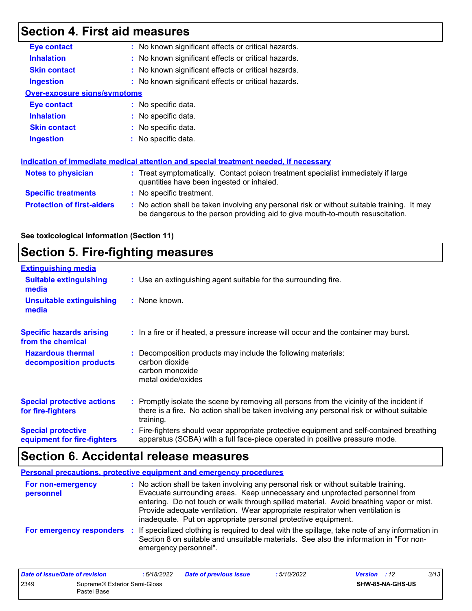# **Section 4. First aid measures**

| <b>Eye contact</b>                  | : No known significant effects or critical hazards.                                                                                                                           |
|-------------------------------------|-------------------------------------------------------------------------------------------------------------------------------------------------------------------------------|
| <b>Inhalation</b>                   | : No known significant effects or critical hazards.                                                                                                                           |
| <b>Skin contact</b>                 | : No known significant effects or critical hazards.                                                                                                                           |
| <b>Ingestion</b>                    | : No known significant effects or critical hazards.                                                                                                                           |
| <b>Over-exposure signs/symptoms</b> |                                                                                                                                                                               |
| Eye contact                         | $:$ No specific data.                                                                                                                                                         |
| <b>Inhalation</b>                   | : No specific data.                                                                                                                                                           |
| <b>Skin contact</b>                 | : No specific data.                                                                                                                                                           |
| <b>Ingestion</b>                    | : No specific data.                                                                                                                                                           |
|                                     | <b>Indication of immediate medical attention and special treatment needed, if necessary</b>                                                                                   |
| Notes to physician                  | : Treat symptomatically. Contact poison treatment specialist immediately if large<br>quantities have been ingested or inhaled.                                                |
| <b>Specific treatments</b>          | : No specific treatment.                                                                                                                                                      |
| <b>Protection of first-aiders</b>   | : No action shall be taken involving any personal risk or without suitable training. It may<br>be dangerous to the person providing aid to give mouth-to-mouth resuscitation. |
|                                     |                                                                                                                                                                               |

#### **See toxicological information (Section 11)**

# **Section 5. Fire-fighting measures**

| <b>Extinguishing media</b>                               |                                                                                                                                                                                                     |
|----------------------------------------------------------|-----------------------------------------------------------------------------------------------------------------------------------------------------------------------------------------------------|
| <b>Suitable extinguishing</b><br>media                   | : Use an extinguishing agent suitable for the surrounding fire.                                                                                                                                     |
| <b>Unsuitable extinguishing</b><br>media                 | : None known.                                                                                                                                                                                       |
| <b>Specific hazards arising</b><br>from the chemical     | : In a fire or if heated, a pressure increase will occur and the container may burst.                                                                                                               |
| <b>Hazardous thermal</b><br>decomposition products       | Decomposition products may include the following materials:<br>carbon dioxide<br>carbon monoxide<br>metal oxide/oxides                                                                              |
| <b>Special protective actions</b><br>for fire-fighters   | : Promptly isolate the scene by removing all persons from the vicinity of the incident if<br>there is a fire. No action shall be taken involving any personal risk or without suitable<br>training. |
| <b>Special protective</b><br>equipment for fire-fighters | : Fire-fighters should wear appropriate protective equipment and self-contained breathing<br>apparatus (SCBA) with a full face-piece operated in positive pressure mode.                            |

# **Section 6. Accidental release measures**

|                                | Personal precautions, protective equipment and emergency procedures                                                                                                                                                                                                                                                                                                                                              |
|--------------------------------|------------------------------------------------------------------------------------------------------------------------------------------------------------------------------------------------------------------------------------------------------------------------------------------------------------------------------------------------------------------------------------------------------------------|
| For non-emergency<br>personnel | : No action shall be taken involving any personal risk or without suitable training.<br>Evacuate surrounding areas. Keep unnecessary and unprotected personnel from<br>entering. Do not touch or walk through spilled material. Avoid breathing vapor or mist.<br>Provide adequate ventilation. Wear appropriate respirator when ventilation is<br>inadequate. Put on appropriate personal protective equipment. |
| For emergency responders       | : If specialized clothing is required to deal with the spillage, take note of any information in<br>Section 8 on suitable and unsuitable materials. See also the information in "For non-<br>emergency personnel".                                                                                                                                                                                               |

| Date of issue/Date of revision |                                             | : 6/18/2022 | <b>Date of previous issue</b> | 5/10/2022               | <b>Version</b> : 12 | 3/13 |
|--------------------------------|---------------------------------------------|-------------|-------------------------------|-------------------------|---------------------|------|
| 2349                           | Supreme® Exterior Semi-Gloss<br>Pastel Base |             |                               | <b>SHW-85-NA-GHS-US</b> |                     |      |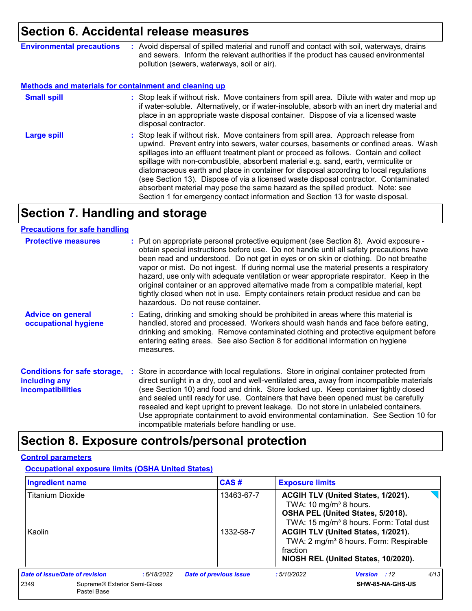### **Section 6. Accidental release measures**

**Environmental precautions :** Avoid dispersal of spilled material and runoff and contact with soil, waterways, drains and sewers. Inform the relevant authorities if the product has caused environmental pollution (sewers, waterways, soil or air).

#### **Methods and materials for containment and cleaning up**

| <b>Small spill</b> | : Stop leak if without risk. Move containers from spill area. Dilute with water and mop up<br>if water-soluble. Alternatively, or if water-insoluble, absorb with an inert dry material and<br>place in an appropriate waste disposal container. Dispose of via a licensed waste<br>disposal contractor.                                                                                                                                                                                                                                                                                                                                                                                                     |
|--------------------|--------------------------------------------------------------------------------------------------------------------------------------------------------------------------------------------------------------------------------------------------------------------------------------------------------------------------------------------------------------------------------------------------------------------------------------------------------------------------------------------------------------------------------------------------------------------------------------------------------------------------------------------------------------------------------------------------------------|
| <b>Large spill</b> | : Stop leak if without risk. Move containers from spill area. Approach release from<br>upwind. Prevent entry into sewers, water courses, basements or confined areas. Wash<br>spillages into an effluent treatment plant or proceed as follows. Contain and collect<br>spillage with non-combustible, absorbent material e.g. sand, earth, vermiculite or<br>diatomaceous earth and place in container for disposal according to local regulations<br>(see Section 13). Dispose of via a licensed waste disposal contractor. Contaminated<br>absorbent material may pose the same hazard as the spilled product. Note: see<br>Section 1 for emergency contact information and Section 13 for waste disposal. |

### **Section 7. Handling and storage**

#### **Precautions for safe handling**

| <b>Protective measures</b>                                                       | : Put on appropriate personal protective equipment (see Section 8). Avoid exposure -<br>obtain special instructions before use. Do not handle until all safety precautions have<br>been read and understood. Do not get in eyes or on skin or clothing. Do not breathe<br>vapor or mist. Do not ingest. If during normal use the material presents a respiratory<br>hazard, use only with adequate ventilation or wear appropriate respirator. Keep in the<br>original container or an approved alternative made from a compatible material, kept<br>tightly closed when not in use. Empty containers retain product residue and can be<br>hazardous. Do not reuse container. |
|----------------------------------------------------------------------------------|-------------------------------------------------------------------------------------------------------------------------------------------------------------------------------------------------------------------------------------------------------------------------------------------------------------------------------------------------------------------------------------------------------------------------------------------------------------------------------------------------------------------------------------------------------------------------------------------------------------------------------------------------------------------------------|
| <b>Advice on general</b><br>occupational hygiene                                 | : Eating, drinking and smoking should be prohibited in areas where this material is<br>handled, stored and processed. Workers should wash hands and face before eating,<br>drinking and smoking. Remove contaminated clothing and protective equipment before<br>entering eating areas. See also Section 8 for additional information on hygiene<br>measures.                                                                                                                                                                                                                                                                                                                 |
| <b>Conditions for safe storage,</b><br>including any<br><b>incompatibilities</b> | Store in accordance with local regulations. Store in original container protected from<br>direct sunlight in a dry, cool and well-ventilated area, away from incompatible materials<br>(see Section 10) and food and drink. Store locked up. Keep container tightly closed<br>and sealed until ready for use. Containers that have been opened must be carefully<br>resealed and kept upright to prevent leakage. Do not store in unlabeled containers.<br>Use appropriate containment to avoid environmental contamination. See Section 10 for<br>incompatible materials before handling or use.                                                                             |

### **Section 8. Exposure controls/personal protection**

#### **Control parameters**

**Occupational exposure limits (OSHA United States)**

| <b>Ingredient name</b>         |                                                         |            | CAS#                                                                                                                                        | <b>Exposure limits</b>                                                                                                                                               |      |  |
|--------------------------------|---------------------------------------------------------|------------|---------------------------------------------------------------------------------------------------------------------------------------------|----------------------------------------------------------------------------------------------------------------------------------------------------------------------|------|--|
| <b>Titanium Dioxide</b>        |                                                         |            | 13463-67-7                                                                                                                                  | ACGIH TLV (United States, 1/2021).<br>TWA: 10 mg/m <sup>3</sup> 8 hours.<br>OSHA PEL (United States, 5/2018).<br>TWA: 15 mg/m <sup>3</sup> 8 hours. Form: Total dust |      |  |
| Kaolin                         |                                                         | 1332-58-7  | ACGIH TLV (United States, 1/2021).<br>TWA: 2 mg/m <sup>3</sup> 8 hours. Form: Respirable<br>fraction<br>NIOSH REL (United States, 10/2020). |                                                                                                                                                                      |      |  |
| Date of issue/Date of revision |                                                         | :6/18/2022 | <b>Date of previous issue</b>                                                                                                               | Version : 12<br>:5/10/2022                                                                                                                                           | 4/13 |  |
| 2349                           | Supreme <sup>®</sup> Exterior Semi-Gloss<br>Pastel Base |            |                                                                                                                                             | SHW-85-NA-GHS-US                                                                                                                                                     |      |  |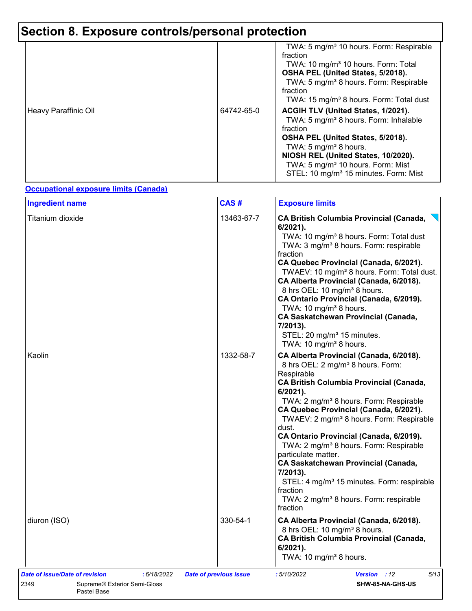# **Section 8. Exposure controls/personal protection**

| Heavy Paraffinic Oil | 64742-65-0 | TWA: 5 mg/m <sup>3</sup> 10 hours. Form: Respirable<br>fraction<br>TWA: 10 mg/m <sup>3</sup> 10 hours. Form: Total<br>OSHA PEL (United States, 5/2018).<br>TWA: 5 mg/m <sup>3</sup> 8 hours. Form: Respirable<br>fraction<br>TWA: 15 mg/m <sup>3</sup> 8 hours. Form: Total dust<br>ACGIH TLV (United States, 1/2021).<br>TWA: 5 mg/m <sup>3</sup> 8 hours. Form: Inhalable<br>fraction<br>OSHA PEL (United States, 5/2018).<br>TWA: 5 mg/m <sup>3</sup> 8 hours.<br>NIOSH REL (United States, 10/2020).<br>TWA: 5 mg/m <sup>3</sup> 10 hours. Form: Mist<br>STEL: 10 mg/m <sup>3</sup> 15 minutes. Form: Mist |
|----------------------|------------|----------------------------------------------------------------------------------------------------------------------------------------------------------------------------------------------------------------------------------------------------------------------------------------------------------------------------------------------------------------------------------------------------------------------------------------------------------------------------------------------------------------------------------------------------------------------------------------------------------------|
|----------------------|------------|----------------------------------------------------------------------------------------------------------------------------------------------------------------------------------------------------------------------------------------------------------------------------------------------------------------------------------------------------------------------------------------------------------------------------------------------------------------------------------------------------------------------------------------------------------------------------------------------------------------|

#### **Occupational exposure limits (Canada)**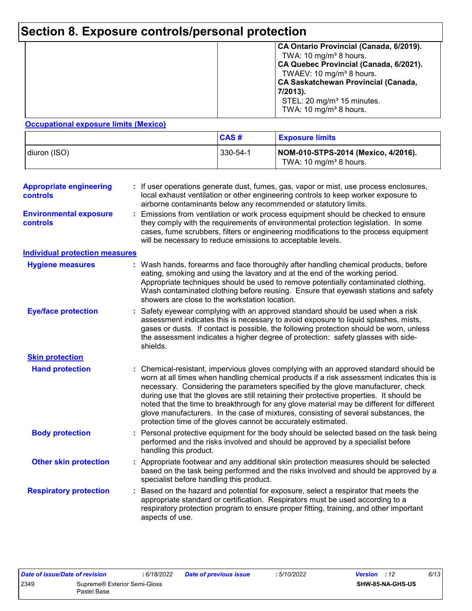# **Section 8. Exposure controls/personal protection**

|  | CA Ontario Provincial (Canada, 6/2019).<br>TWA: 10 mg/m <sup>3</sup> 8 hours.<br>CA Quebec Provincial (Canada, 6/2021).<br>TWAEV: 10 mg/m <sup>3</sup> 8 hours.<br><b>CA Saskatchewan Provincial (Canada,</b><br>7/2013).<br>STEL: 20 mg/m <sup>3</sup> 15 minutes.<br>TWA: 10 mg/m <sup>3</sup> 8 hours. |
|--|-----------------------------------------------------------------------------------------------------------------------------------------------------------------------------------------------------------------------------------------------------------------------------------------------------------|
|--|-----------------------------------------------------------------------------------------------------------------------------------------------------------------------------------------------------------------------------------------------------------------------------------------------------------|

#### **Occupational exposure limits (Mexico)**

|              | CAS#     | <b>Exposure limits</b>                                                    |
|--------------|----------|---------------------------------------------------------------------------|
| diuron (ISO) | 330-54-1 | NOM-010-STPS-2014 (Mexico, 4/2016).<br>TWA: 10 mg/m <sup>3</sup> 8 hours. |

| <b>Appropriate engineering</b><br>controls<br><b>Environmental exposure</b> | : If user operations generate dust, fumes, gas, vapor or mist, use process enclosures,<br>local exhaust ventilation or other engineering controls to keep worker exposure to<br>airborne contaminants below any recommended or statutory limits.<br>Emissions from ventilation or work process equipment should be checked to ensure                                                                                                                                                                                                                                                                                   |
|-----------------------------------------------------------------------------|------------------------------------------------------------------------------------------------------------------------------------------------------------------------------------------------------------------------------------------------------------------------------------------------------------------------------------------------------------------------------------------------------------------------------------------------------------------------------------------------------------------------------------------------------------------------------------------------------------------------|
| controls                                                                    | they comply with the requirements of environmental protection legislation. In some<br>cases, fume scrubbers, filters or engineering modifications to the process equipment<br>will be necessary to reduce emissions to acceptable levels.                                                                                                                                                                                                                                                                                                                                                                              |
| <b>Individual protection measures</b>                                       |                                                                                                                                                                                                                                                                                                                                                                                                                                                                                                                                                                                                                        |
| <b>Hygiene measures</b>                                                     | : Wash hands, forearms and face thoroughly after handling chemical products, before<br>eating, smoking and using the lavatory and at the end of the working period.<br>Appropriate techniques should be used to remove potentially contaminated clothing.<br>Wash contaminated clothing before reusing. Ensure that eyewash stations and safety<br>showers are close to the workstation location.                                                                                                                                                                                                                      |
| <b>Eye/face protection</b>                                                  | Safety eyewear complying with an approved standard should be used when a risk<br>assessment indicates this is necessary to avoid exposure to liquid splashes, mists,<br>gases or dusts. If contact is possible, the following protection should be worn, unless<br>the assessment indicates a higher degree of protection: safety glasses with side-<br>shields.                                                                                                                                                                                                                                                       |
| <b>Skin protection</b>                                                      |                                                                                                                                                                                                                                                                                                                                                                                                                                                                                                                                                                                                                        |
| <b>Hand protection</b>                                                      | : Chemical-resistant, impervious gloves complying with an approved standard should be<br>worn at all times when handling chemical products if a risk assessment indicates this is<br>necessary. Considering the parameters specified by the glove manufacturer, check<br>during use that the gloves are still retaining their protective properties. It should be<br>noted that the time to breakthrough for any glove material may be different for different<br>glove manufacturers. In the case of mixtures, consisting of several substances, the<br>protection time of the gloves cannot be accurately estimated. |
| <b>Body protection</b>                                                      | Personal protective equipment for the body should be selected based on the task being<br>performed and the risks involved and should be approved by a specialist before<br>handling this product.                                                                                                                                                                                                                                                                                                                                                                                                                      |
| <b>Other skin protection</b>                                                | : Appropriate footwear and any additional skin protection measures should be selected<br>based on the task being performed and the risks involved and should be approved by a<br>specialist before handling this product.                                                                                                                                                                                                                                                                                                                                                                                              |
| <b>Respiratory protection</b>                                               | : Based on the hazard and potential for exposure, select a respirator that meets the<br>appropriate standard or certification. Respirators must be used according to a<br>respiratory protection program to ensure proper fitting, training, and other important<br>aspects of use.                                                                                                                                                                                                                                                                                                                                    |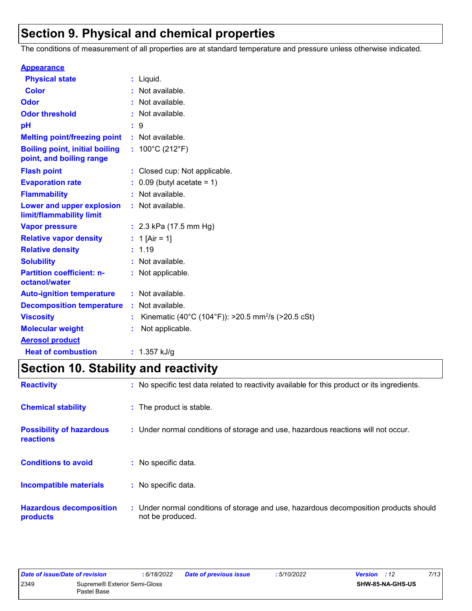# **Section 9. Physical and chemical properties**

The conditions of measurement of all properties are at standard temperature and pressure unless otherwise indicated.

| <b>Appearance</b>                                                 |                                                                |
|-------------------------------------------------------------------|----------------------------------------------------------------|
| <b>Physical state</b>                                             | $:$ Liquid.                                                    |
| <b>Color</b>                                                      | : Not available.                                               |
| Odor                                                              | : Not available.                                               |
| <b>Odor threshold</b>                                             | : Not available.                                               |
| рH                                                                | : 9                                                            |
| <b>Melting point/freezing point</b>                               | : Not available.                                               |
| <b>Boiling point, initial boiling</b><br>point, and boiling range | : $100^{\circ}$ C (212 $^{\circ}$ F)                           |
| <b>Flash point</b>                                                | : Closed cup: Not applicable.                                  |
| <b>Evaporation rate</b>                                           | $0.09$ (butyl acetate = 1)                                     |
| <b>Flammability</b>                                               | : Not available.                                               |
| Lower and upper explosion<br>limit/flammability limit             | : Not available.                                               |
| <b>Vapor pressure</b>                                             | : $2.3$ kPa (17.5 mm Hg)                                       |
| <b>Relative vapor density</b>                                     | : 1 [Air = 1]                                                  |
| <b>Relative density</b>                                           | : 1.19                                                         |
| <b>Solubility</b>                                                 | : Not available.                                               |
| <b>Partition coefficient: n-</b><br>octanol/water                 | : Not applicable.                                              |
| <b>Auto-ignition temperature</b>                                  | : Not available.                                               |
| <b>Decomposition temperature</b>                                  | : Not available.                                               |
| <b>Viscosity</b>                                                  | Kinematic (40°C (104°F)): >20.5 mm <sup>2</sup> /s (>20.5 cSt) |
| <b>Molecular weight</b>                                           | Not applicable.                                                |
| <b>Aerosol product</b>                                            |                                                                |
| <b>Heat of combustion</b>                                         | : $1.357$ kJ/g                                                 |

# **Section 10. Stability and reactivity**

| <b>Reactivity</b>                            | : No specific test data related to reactivity available for this product or its ingredients.              |  |
|----------------------------------------------|-----------------------------------------------------------------------------------------------------------|--|
| <b>Chemical stability</b>                    | : The product is stable.                                                                                  |  |
| <b>Possibility of hazardous</b><br>reactions | : Under normal conditions of storage and use, hazardous reactions will not occur.                         |  |
| <b>Conditions to avoid</b>                   | : No specific data.                                                                                       |  |
| Incompatible materials                       | : No specific data.                                                                                       |  |
| <b>Hazardous decomposition</b><br>products   | : Under normal conditions of storage and use, hazardous decomposition products should<br>not be produced. |  |

| Date of issue/Date of revision |                              | : 6/18/2022 | <b>Date of previous issue</b> | : 5/10/2022 | <b>Version</b> : 12     | 7/13 |
|--------------------------------|------------------------------|-------------|-------------------------------|-------------|-------------------------|------|
| 2349                           | Supreme® Exterior Semi-Gloss |             |                               |             | <b>SHW-85-NA-GHS-US</b> |      |
|                                | Pastel Base                  |             |                               |             |                         |      |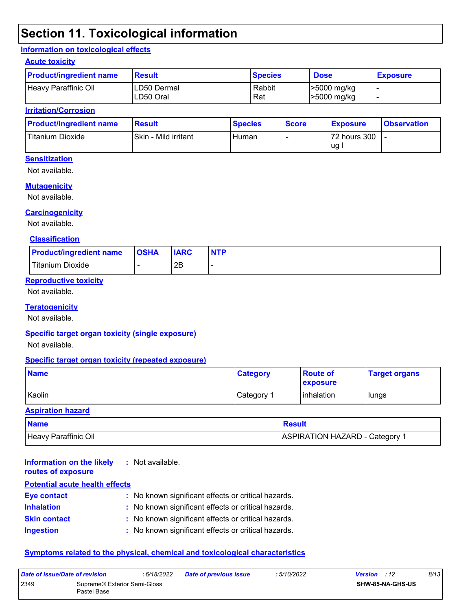# **Section 11. Toxicological information**

#### **Information on toxicological effects**

#### **Acute toxicity**

| <b>Product/ingredient name</b> | <b>Result</b>             | <b>Species</b> | <b>Dose</b>                | <b>Exposure</b> |
|--------------------------------|---------------------------|----------------|----------------------------|-----------------|
| Heavy Paraffinic Oil           | ILD50 Dermal<br>LD50 Oral | Rabbit<br>Rat  | >5000 mg/kg<br>>5000 mg/kg |                 |

#### **Irritation/Corrosion**

| <b>Product/ingredient name</b> | <b>Result</b>        | <b>Species</b> | <b>Score</b> | <b>Exposure</b> | <b>Observation</b> |
|--------------------------------|----------------------|----------------|--------------|-----------------|--------------------|
| Titanium Dioxide               | Skin - Mild irritant | Human          |              | 72 hours 300    |                    |
|                                |                      |                |              | ug.             |                    |

#### **Sensitization**

Not available.

#### **Mutagenicity**

Not available.

#### **Carcinogenicity**

Not available.

#### **Classification**

| <b>Product/ingredient name</b> | <b>OSHA</b> | <b>IARC</b> | <b>NTP</b> |
|--------------------------------|-------------|-------------|------------|
| Titanium Dioxide               |             | 2E          |            |

#### **Reproductive toxicity**

Not available.

#### **Teratogenicity**

Not available.

#### **Specific target organ toxicity (single exposure)**

Not available.

#### **Specific target organ toxicity (repeated exposure)**

| <b>Name</b> | <b>Category</b> | <b>Route of</b><br><b>exposure</b> | <b>Target organs</b> |
|-------------|-----------------|------------------------------------|----------------------|
| Kaolin      | Category        | <b>l</b> inhalation                | lungs                |

#### **Aspiration hazard**

| <b>Name</b>          | Result                         |
|----------------------|--------------------------------|
| Heavy Paraffinic Oil | ASPIRATION HAZARD - Category 1 |

| : Not available.<br>Information on the likely       |
|-----------------------------------------------------|
| <b>Potential acute health effects</b>               |
| : No known significant effects or critical hazards. |
| : No known significant effects or critical hazards. |
| : No known significant effects or critical hazards. |
| : No known significant effects or critical hazards. |
|                                                     |

#### **Symptoms related to the physical, chemical and toxicological characteristics**

| Date of issue/Date of revision |                                                         | : 6/18/2022 | <b>Date of previous issue</b> | : 5/10/2022 | <b>Version</b> : 12     | 8/13 |
|--------------------------------|---------------------------------------------------------|-------------|-------------------------------|-------------|-------------------------|------|
| 2349                           | Supreme <sup>®</sup> Exterior Semi-Gloss<br>Pastel Base |             |                               |             | <b>SHW-85-NA-GHS-US</b> |      |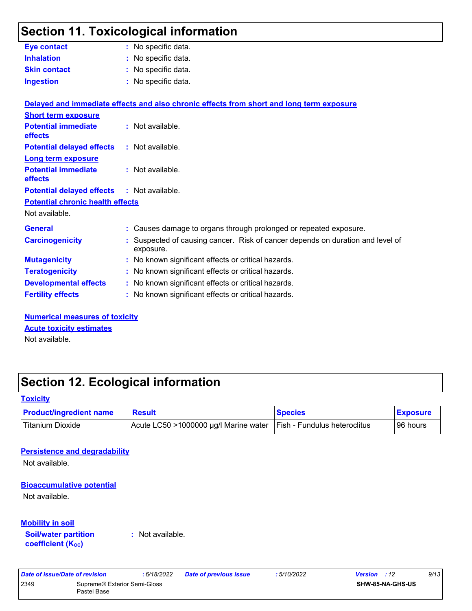### **Section 11. Toxicological information**

| <b>Eye contact</b>                           | : No specific data.                                                                       |
|----------------------------------------------|-------------------------------------------------------------------------------------------|
| <b>Inhalation</b>                            | : No specific data.                                                                       |
| <b>Skin contact</b>                          | No specific data.                                                                         |
| <b>Ingestion</b>                             | : No specific data.                                                                       |
|                                              | Delayed and immediate effects and also chronic effects from short and long term exposure  |
| <b>Short term exposure</b>                   |                                                                                           |
| <b>Potential immediate</b><br><b>effects</b> | : Not available.                                                                          |
| <b>Potential delayed effects</b>             | : Not available.                                                                          |
| Long term exposure                           |                                                                                           |
| <b>Potential immediate</b><br>effects        | : Not available.                                                                          |
| <b>Potential delayed effects</b>             | : Not available.                                                                          |
| <b>Potential chronic health effects</b>      |                                                                                           |
| Not available.                               |                                                                                           |
| <b>General</b>                               | Causes damage to organs through prolonged or repeated exposure.                           |
| <b>Carcinogenicity</b>                       | Suspected of causing cancer. Risk of cancer depends on duration and level of<br>exposure. |
| <b>Mutagenicity</b>                          | No known significant effects or critical hazards.                                         |
| <b>Teratogenicity</b>                        | No known significant effects or critical hazards.                                         |
| <b>Developmental effects</b>                 | : No known significant effects or critical hazards.                                       |
| <b>Fertility effects</b>                     | : No known significant effects or critical hazards.                                       |
|                                              |                                                                                           |

**Numerical measures of toxicity** Not available. **Acute toxicity estimates**

# **Section 12. Ecological information**

#### **Toxicity**

| <b>Product/ingredient name</b> | <b>Result</b>                         | <b>Species</b>                      | <b>Exposure</b> |
|--------------------------------|---------------------------------------|-------------------------------------|-----------------|
| Titanium Dioxide               | Acute LC50 >1000000 µg/l Marine water | <b>Fish - Fundulus heteroclitus</b> | l 96 hours      |

#### **Persistence and degradability**

Not available.

#### **Bioaccumulative potential**

Not available.

#### **Mobility in soil**

**Soil/water partition coefficient (KOC)**

**:** Not available.

|      | Date of issue/Date of revision              | : 6/18/2022 |
|------|---------------------------------------------|-------------|
| 2349 | Supreme® Exterior Semi-Gloss<br>Pastel Base |             |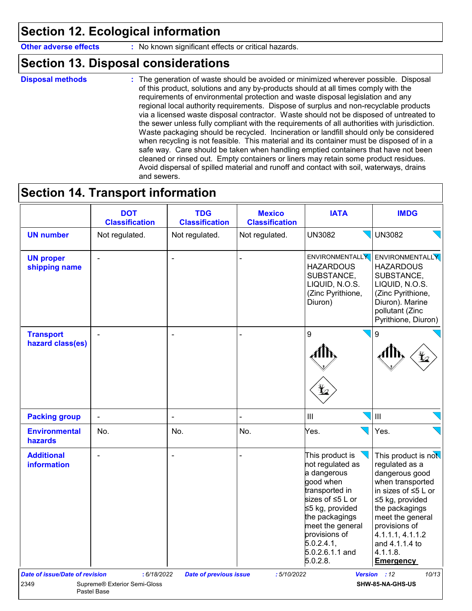## **Section 12. Ecological information**

**Other adverse effects** : No known significant effects or critical hazards.

### **Section 13. Disposal considerations**

**Disposal methods :**

The generation of waste should be avoided or minimized wherever possible. Disposal of this product, solutions and any by-products should at all times comply with the requirements of environmental protection and waste disposal legislation and any regional local authority requirements. Dispose of surplus and non-recyclable products via a licensed waste disposal contractor. Waste should not be disposed of untreated to the sewer unless fully compliant with the requirements of all authorities with jurisdiction. Waste packaging should be recycled. Incineration or landfill should only be considered when recycling is not feasible. This material and its container must be disposed of in a safe way. Care should be taken when handling emptied containers that have not been cleaned or rinsed out. Empty containers or liners may retain some product residues. Avoid dispersal of spilled material and runoff and contact with soil, waterways, drains and sewers.

### **Section 14. Transport information**

|                                       | <b>DOT</b><br><b>Classification</b>         | <b>TDG</b><br><b>Classification</b> | <b>Mexico</b><br><b>Classification</b> | <b>IATA</b>                                                                                                                                                                                                                           | <b>IMDG</b>                                                                                                                                                                                                                                        |
|---------------------------------------|---------------------------------------------|-------------------------------------|----------------------------------------|---------------------------------------------------------------------------------------------------------------------------------------------------------------------------------------------------------------------------------------|----------------------------------------------------------------------------------------------------------------------------------------------------------------------------------------------------------------------------------------------------|
| <b>UN number</b>                      | Not regulated.                              | Not regulated.                      | Not regulated.                         | <b>UN3082</b>                                                                                                                                                                                                                         | <b>UN3082</b>                                                                                                                                                                                                                                      |
| <b>UN proper</b><br>shipping name     | $\sim$                                      | $\overline{\phantom{a}}$            |                                        | ENVIRONMENTALLY<br><b>HAZARDOUS</b><br>SUBSTANCE,<br>LIQUID, N.O.S.<br>(Zinc Pyrithione,<br>Diuron)                                                                                                                                   | <b>ENVIRONMENTALLY</b><br><b>HAZARDOUS</b><br>SUBSTANCE,<br>LIQUID, N.O.S.<br>(Zinc Pyrithione,<br>Diuron). Marine<br>pollutant (Zinc<br>Pyrithione, Diuron)                                                                                       |
| <b>Transport</b><br>hazard class(es)  |                                             | $\sim$                              |                                        | 9                                                                                                                                                                                                                                     | 9                                                                                                                                                                                                                                                  |
| <b>Packing group</b>                  | $\blacksquare$                              | $\ddot{\phantom{a}}$                |                                        | III                                                                                                                                                                                                                                   | III                                                                                                                                                                                                                                                |
| <b>Environmental</b><br>hazards       | No.                                         | No.                                 | No.                                    | Yes.                                                                                                                                                                                                                                  | Yes.                                                                                                                                                                                                                                               |
| <b>Additional</b><br>information      |                                             | Ē,                                  |                                        | This product is<br>$\sum$<br>not regulated as<br>a dangerous<br>good when<br>transported in<br>sizes of ≤5 L or<br>≤5 kg, provided<br>the packagings<br>meet the general<br>provisions of<br>5.0.2.4.1<br>5.0.2.6.1.1 and<br>5.0.2.8. | This product is not<br>regulated as a<br>dangerous good<br>when transported<br>in sizes of ≤5 L or<br>≤5 kg, provided<br>the packagings<br>meet the general<br>provisions of<br>4.1.1.1, 4.1.1.2<br>and 4.1.1.4 to<br>4.1.1.8.<br><b>Emergency</b> |
| <b>Date of issue/Date of revision</b> | : 6/18/2022                                 | <b>Date of previous issue</b>       | :5/10/2022                             |                                                                                                                                                                                                                                       | Version : 12<br>10/13                                                                                                                                                                                                                              |
| 2349                                  | Supreme® Exterior Semi-Gloss<br>Pastel Base |                                     |                                        |                                                                                                                                                                                                                                       | SHW-85-NA-GHS-US                                                                                                                                                                                                                                   |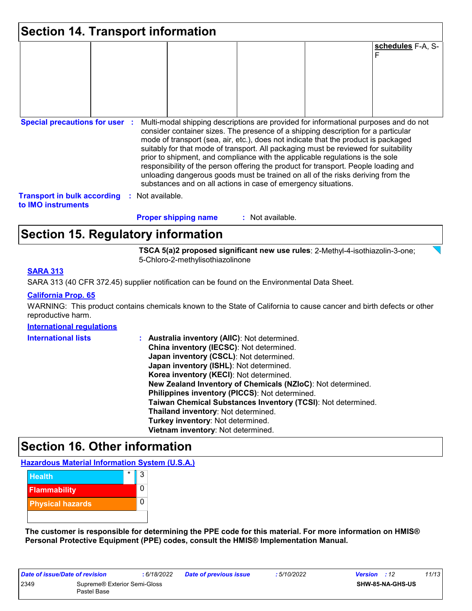| <b>Section 14. Transport information</b>                        |                                                                |                  |                                                                                                                                                                                                                                                                                                                                                                                                                                                                                                                                                                                                                   |  |  |
|-----------------------------------------------------------------|----------------------------------------------------------------|------------------|-------------------------------------------------------------------------------------------------------------------------------------------------------------------------------------------------------------------------------------------------------------------------------------------------------------------------------------------------------------------------------------------------------------------------------------------------------------------------------------------------------------------------------------------------------------------------------------------------------------------|--|--|
|                                                                 |                                                                |                  | schedules F-A, S-<br>F                                                                                                                                                                                                                                                                                                                                                                                                                                                                                                                                                                                            |  |  |
|                                                                 |                                                                |                  |                                                                                                                                                                                                                                                                                                                                                                                                                                                                                                                                                                                                                   |  |  |
|                                                                 |                                                                |                  |                                                                                                                                                                                                                                                                                                                                                                                                                                                                                                                                                                                                                   |  |  |
| <b>Special precautions for user :</b>                           | substances and on all actions in case of emergency situations. |                  | Multi-modal shipping descriptions are provided for informational purposes and do not<br>consider container sizes. The presence of a shipping description for a particular<br>mode of transport (sea, air, etc.), does not indicate that the product is packaged<br>suitably for that mode of transport. All packaging must be reviewed for suitability<br>prior to shipment, and compliance with the applicable regulations is the sole<br>responsibility of the person offering the product for transport. People loading and<br>unloading dangerous goods must be trained on all of the risks deriving from the |  |  |
| <b>Transport in bulk according</b><br>to <b>IMO</b> instruments | Not available.                                                 |                  |                                                                                                                                                                                                                                                                                                                                                                                                                                                                                                                                                                                                                   |  |  |
|                                                                 | <b>Proper shipping name</b>                                    | : Not available. |                                                                                                                                                                                                                                                                                                                                                                                                                                                                                                                                                                                                                   |  |  |

### **Section 15. Regulatory information**

**TSCA 5(a)2 proposed significant new use rules**: 2-Methyl-4-isothiazolin-3-one; 5-Chloro-2-methylisothiazolinone

#### **SARA 313**

SARA 313 (40 CFR 372.45) supplier notification can be found on the Environmental Data Sheet.

#### **California Prop. 65**

WARNING: This product contains chemicals known to the State of California to cause cancer and birth defects or other reproductive harm.

#### **International regulations**

| <b>International lists</b><br>÷. | Australia inventory (AIIC): Not determined.                  |
|----------------------------------|--------------------------------------------------------------|
|                                  | China inventory (IECSC): Not determined.                     |
|                                  | Japan inventory (CSCL): Not determined.                      |
|                                  | Japan inventory (ISHL): Not determined.                      |
|                                  | Korea inventory (KECI): Not determined.                      |
|                                  | New Zealand Inventory of Chemicals (NZIoC): Not determined.  |
|                                  | Philippines inventory (PICCS): Not determined.               |
|                                  | Taiwan Chemical Substances Inventory (TCSI): Not determined. |
|                                  | Thailand inventory: Not determined.                          |
|                                  | Turkey inventory: Not determined.                            |
|                                  | Vietnam inventory: Not determined.                           |

### **Section 16. Other information**

#### **Hazardous Material Information System (U.S.A.)**



**The customer is responsible for determining the PPE code for this material. For more information on HMIS® Personal Protective Equipment (PPE) codes, consult the HMIS® Implementation Manual.**

| Date of issue/Date of revision |                                             | : 6/18/2022 | <b>Date of previous issue</b> | :5/10/2022       | 11/13<br><b>Version</b> : 12 |
|--------------------------------|---------------------------------------------|-------------|-------------------------------|------------------|------------------------------|
| 2349                           | Supreme® Exterior Semi-Gloss<br>Pastel Base |             |                               | SHW-85-NA-GHS-US |                              |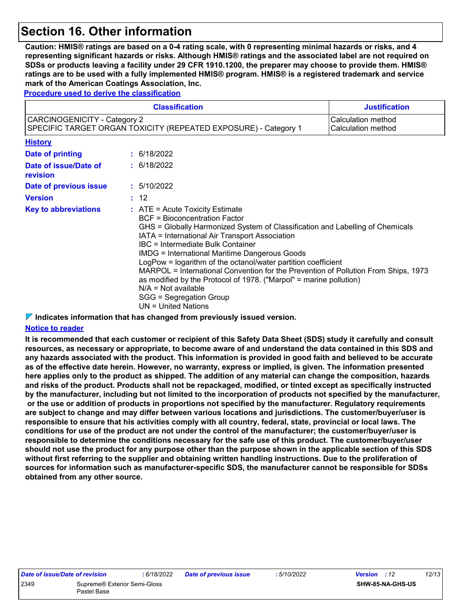## **Section 16. Other information**

**Caution: HMIS® ratings are based on a 0-4 rating scale, with 0 representing minimal hazards or risks, and 4 representing significant hazards or risks. Although HMIS® ratings and the associated label are not required on SDSs or products leaving a facility under 29 CFR 1910.1200, the preparer may choose to provide them. HMIS® ratings are to be used with a fully implemented HMIS® program. HMIS® is a registered trademark and service mark of the American Coatings Association, Inc.**

**Procedure used to derive the classification**

| <b>Classification</b>                                                                                                                                                                                                                                                                                                                                                                                                                                                                                                                                                                                                                                       |  |                                          | <b>Justification</b> |  |
|-------------------------------------------------------------------------------------------------------------------------------------------------------------------------------------------------------------------------------------------------------------------------------------------------------------------------------------------------------------------------------------------------------------------------------------------------------------------------------------------------------------------------------------------------------------------------------------------------------------------------------------------------------------|--|------------------------------------------|----------------------|--|
| CARCINOGENICITY - Category 2<br>SPECIFIC TARGET ORGAN TOXICITY (REPEATED EXPOSURE) - Category 1                                                                                                                                                                                                                                                                                                                                                                                                                                                                                                                                                             |  | Calculation method<br>Calculation method |                      |  |
| <b>History</b>                                                                                                                                                                                                                                                                                                                                                                                                                                                                                                                                                                                                                                              |  |                                          |                      |  |
| <b>Date of printing</b>                                                                                                                                                                                                                                                                                                                                                                                                                                                                                                                                                                                                                                     |  | : 6/18/2022                              |                      |  |
| Date of issue/Date of<br>revision                                                                                                                                                                                                                                                                                                                                                                                                                                                                                                                                                                                                                           |  | $\div$ 6/18/2022                         |                      |  |
| Date of previous issue                                                                                                                                                                                                                                                                                                                                                                                                                                                                                                                                                                                                                                      |  | : 5/10/2022                              |                      |  |
| <b>Version</b>                                                                                                                                                                                                                                                                                                                                                                                                                                                                                                                                                                                                                                              |  | : 12                                     |                      |  |
| $\therefore$ ATE = Acute Toxicity Estimate<br><b>Key to abbreviations</b><br><b>BCF</b> = Bioconcentration Factor<br>GHS = Globally Harmonized System of Classification and Labelling of Chemicals<br>IATA = International Air Transport Association<br>IBC = Intermediate Bulk Container<br><b>IMDG = International Maritime Dangerous Goods</b><br>LogPow = logarithm of the octanol/water partition coefficient<br>MARPOL = International Convention for the Prevention of Pollution From Ships, 1973<br>as modified by the Protocol of 1978. ("Marpol" = marine pollution)<br>$N/A = Not available$<br>SGG = Segregation Group<br>$UN = United Nations$ |  |                                          |                      |  |

**Indicates information that has changed from previously issued version.**

#### **Notice to reader**

**It is recommended that each customer or recipient of this Safety Data Sheet (SDS) study it carefully and consult resources, as necessary or appropriate, to become aware of and understand the data contained in this SDS and any hazards associated with the product. This information is provided in good faith and believed to be accurate as of the effective date herein. However, no warranty, express or implied, is given. The information presented here applies only to the product as shipped. The addition of any material can change the composition, hazards and risks of the product. Products shall not be repackaged, modified, or tinted except as specifically instructed by the manufacturer, including but not limited to the incorporation of products not specified by the manufacturer, or the use or addition of products in proportions not specified by the manufacturer. Regulatory requirements are subject to change and may differ between various locations and jurisdictions. The customer/buyer/user is responsible to ensure that his activities comply with all country, federal, state, provincial or local laws. The conditions for use of the product are not under the control of the manufacturer; the customer/buyer/user is responsible to determine the conditions necessary for the safe use of this product. The customer/buyer/user should not use the product for any purpose other than the purpose shown in the applicable section of this SDS without first referring to the supplier and obtaining written handling instructions. Due to the proliferation of sources for information such as manufacturer-specific SDS, the manufacturer cannot be responsible for SDSs obtained from any other source.**